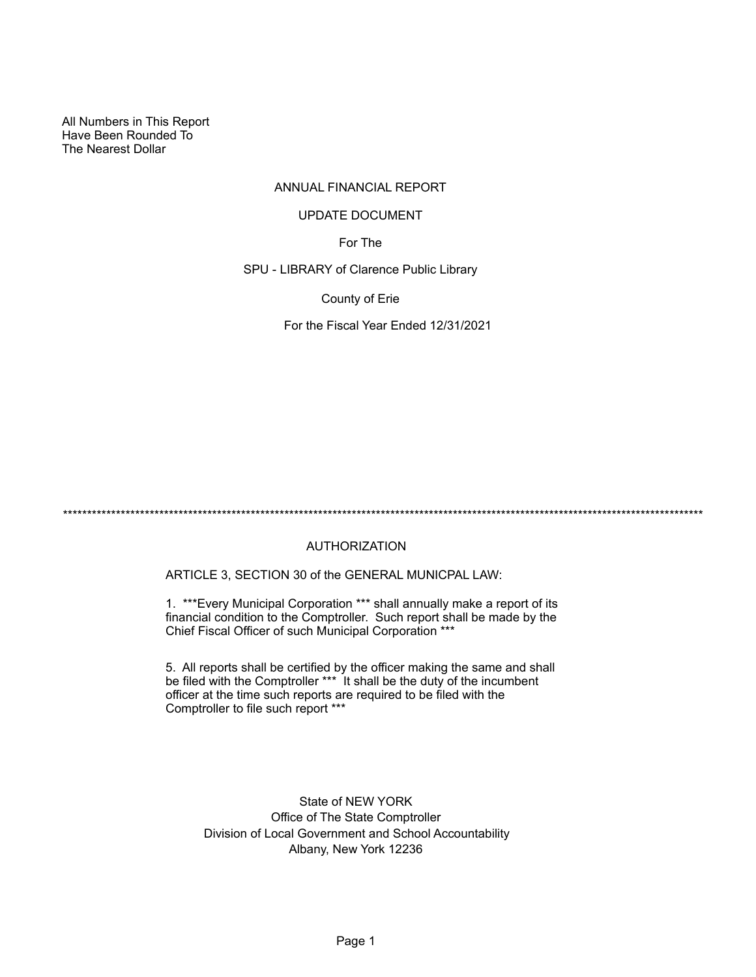All Numbers in This Report Have Been Rounded To The Nearest Dollar

# ANNUAL FINANCIAL REPORT

## UPDATE DOCUMENT

For The

SPU - LIBRARY of Clarence Public Library

County of Erie

For the Fiscal Year Ended 12/31/2021

\*\*\*\*\*\*\*\*\*\*\*\*\*\*\*\*\*\*\*\*\*\*\*\*\*\*\*\*\*\*\*\*\*\*\*\*\*\*\*\*\*\*\*\*\*\*\*\*\*\*\*\*\*\*\*\*\*\*\*\*\*\*\*\*\*\*\*\*\*\*\*\*\*\*\*\*\*\*\*\*\*\*\*\*\*\*\*\*\*\*\*\*\*\*\*\*\*\*\*\*\*\*\*\*\*\*\*\*\*\*\*\*\*\*\*\*\*\*\*\*\*\*\*\*\*\*\*\*\*\*\*\*\*

# AUTHORIZATION

ARTICLE 3, SECTION 30 of the GENERAL MUNICPAL LAW:

1. \*\*\*Every Municipal Corporation \*\*\* shall annually make a report of its financial condition to the Comptroller. Such report shall be made by the Chief Fiscal Officer of such Municipal Corporation \*\*\*

5. All reports shall be certified by the officer making the same and shall be filed with the Comptroller \*\*\* It shall be the duty of the incumbent officer at the time such reports are required to be filed with the Comptroller to file such report \*\*\*

State of NEW YORK Office of The State Comptroller Division of Local Government and School Accountability Albany, New York 12236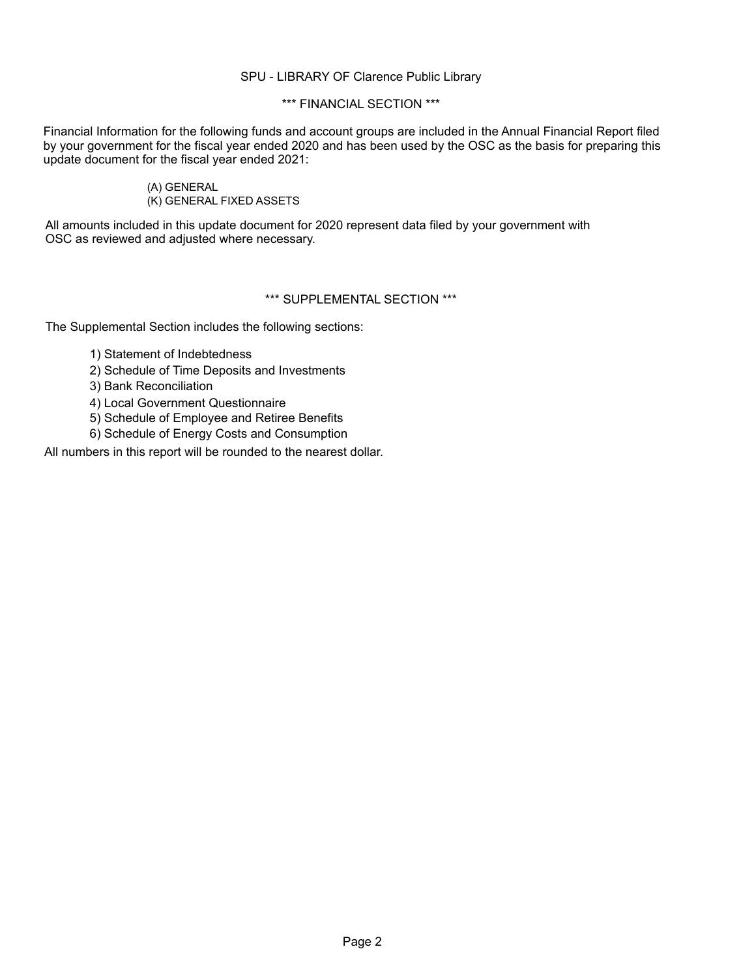# SPU - LIBRARY OF Clarence Public Library

# \*\*\* FINANCIAL SECTION \*\*\*

Financial Information for the following funds and account groups are included in the Annual Financial Report filed by your government for the fiscal year ended 2020 and has been used by the OSC as the basis for preparing this update document for the fiscal year ended 2021:

# (A) GENERAL (K) GENERAL FIXED ASSETS

All amounts included in this update document for 2020 represent data filed by your government with OSC as reviewed and adjusted where necessary.

# \*\*\* SUPPLEMENTAL SECTION \*\*\*

The Supplemental Section includes the following sections:

- 1) Statement of Indebtedness
- 2) Schedule of Time Deposits and Investments
- 3) Bank Reconciliation
- 4) Local Government Questionnaire
- 5) Schedule of Employee and Retiree Benefits
- 6) Schedule of Energy Costs and Consumption

All numbers in this report will be rounded to the nearest dollar.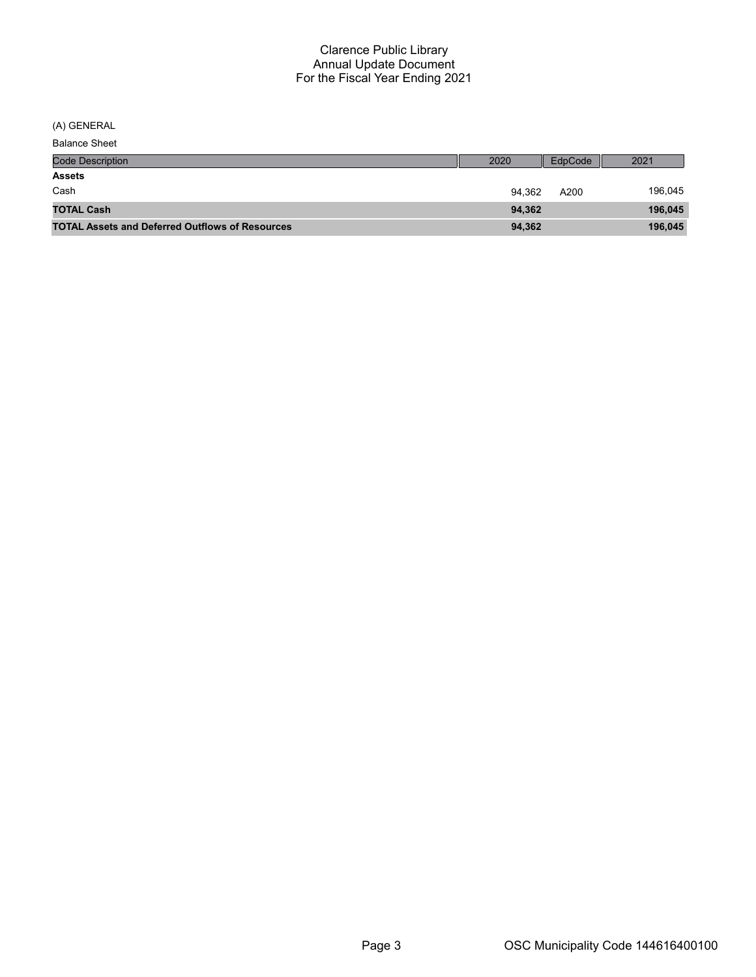(A) GENERAL

| <b>Balance Sheet</b>                                   |        |         |         |
|--------------------------------------------------------|--------|---------|---------|
| <b>Code Description</b>                                | 2020   | EdpCode | 2021    |
| <b>Assets</b>                                          |        |         |         |
| Cash                                                   | 94.362 | A200    | 196,045 |
| <b>TOTAL Cash</b>                                      | 94,362 |         | 196,045 |
| <b>TOTAL Assets and Deferred Outflows of Resources</b> | 94,362 |         | 196,045 |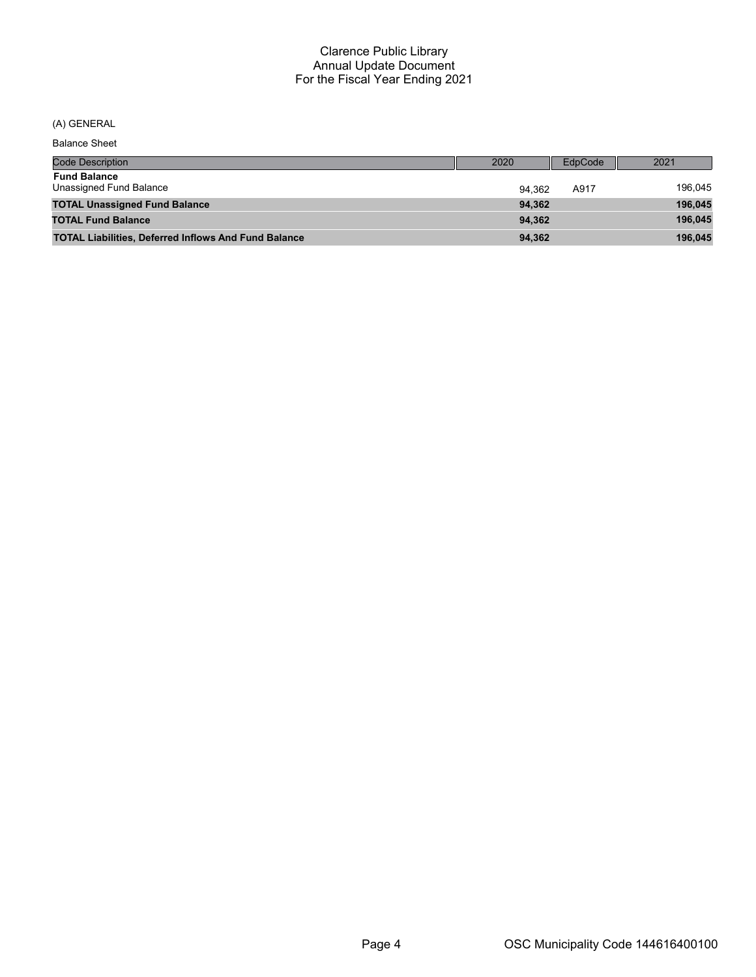(A) GENERAL

| <b>Balance Sheet</b>                                        |        |         |         |
|-------------------------------------------------------------|--------|---------|---------|
| <b>Code Description</b>                                     | 2020   | EdpCode | 2021    |
| <b>Fund Balance</b><br>Unassigned Fund Balance              | 94.362 | A917    | 196,045 |
| <b>TOTAL Unassigned Fund Balance</b>                        | 94.362 |         | 196,045 |
| <b>TOTAL Fund Balance</b>                                   | 94.362 |         | 196,045 |
| <b>TOTAL Liabilities, Deferred Inflows And Fund Balance</b> | 94,362 |         | 196.045 |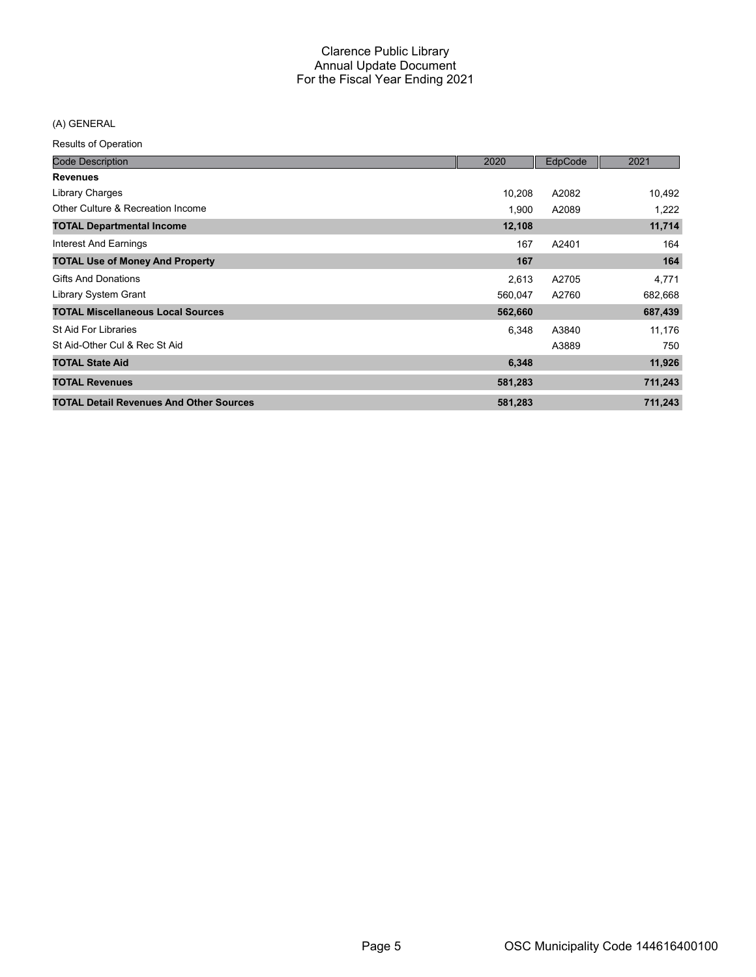# (A) GENERAL

Results of Operation

| <b>Code Description</b>                        | 2020    | EdpCode | 2021    |
|------------------------------------------------|---------|---------|---------|
| <b>Revenues</b>                                |         |         |         |
| Library Charges                                | 10,208  | A2082   | 10,492  |
| Other Culture & Recreation Income              | 1,900   | A2089   | 1,222   |
| <b>TOTAL Departmental Income</b>               | 12,108  |         | 11,714  |
| Interest And Earnings                          | 167     | A2401   | 164     |
| <b>TOTAL Use of Money And Property</b>         | 167     |         | 164     |
| <b>Gifts And Donations</b>                     | 2,613   | A2705   | 4,771   |
| Library System Grant                           | 560,047 | A2760   | 682,668 |
| <b>TOTAL Miscellaneous Local Sources</b>       | 562,660 |         | 687,439 |
| St Aid For Libraries                           | 6,348   | A3840   | 11,176  |
| St Aid-Other Cul & Rec St Aid                  |         | A3889   | 750     |
| <b>TOTAL State Aid</b>                         | 6,348   |         | 11,926  |
| <b>TOTAL Revenues</b>                          | 581,283 |         | 711,243 |
| <b>TOTAL Detail Revenues And Other Sources</b> | 581,283 |         | 711,243 |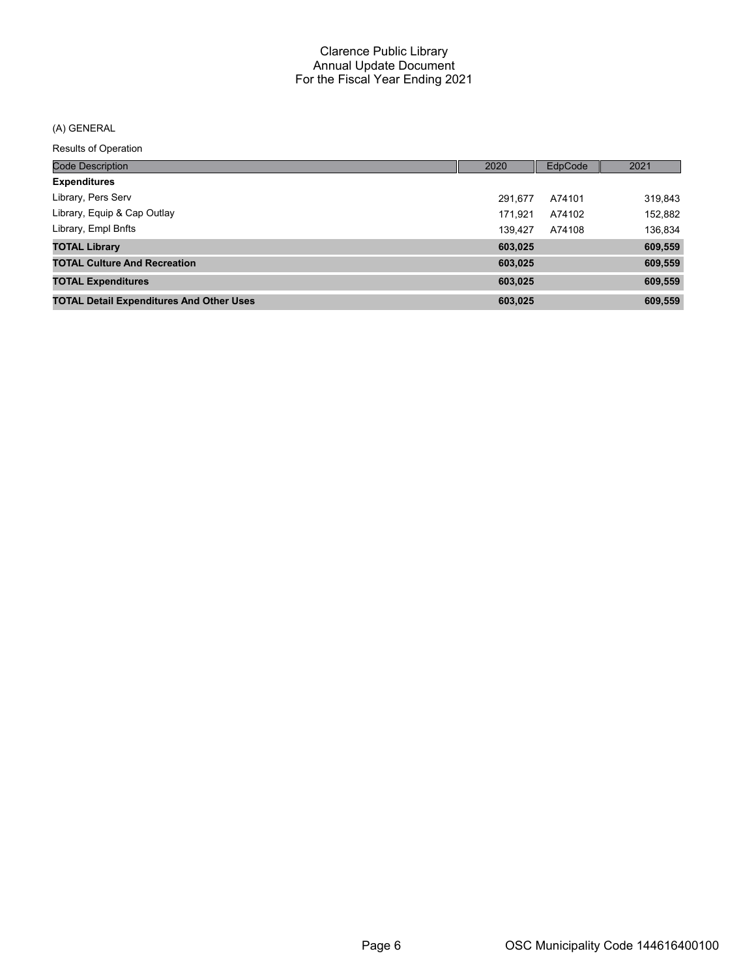# (A) GENERAL

#### Results of Operation

| <b>Code Description</b>                         | 2020    | EdpCode | 2021    |
|-------------------------------------------------|---------|---------|---------|
| <b>Expenditures</b>                             |         |         |         |
| Library, Pers Serv                              | 291.677 | A74101  | 319,843 |
| Library, Equip & Cap Outlay                     | 171.921 | A74102  | 152,882 |
| Library, Empl Bnfts                             | 139.427 | A74108  | 136,834 |
| <b>TOTAL Library</b>                            | 603,025 |         | 609,559 |
| <b>TOTAL Culture And Recreation</b>             | 603,025 |         | 609,559 |
| <b>TOTAL Expenditures</b>                       | 603,025 |         | 609,559 |
| <b>TOTAL Detail Expenditures And Other Uses</b> | 603.025 |         | 609,559 |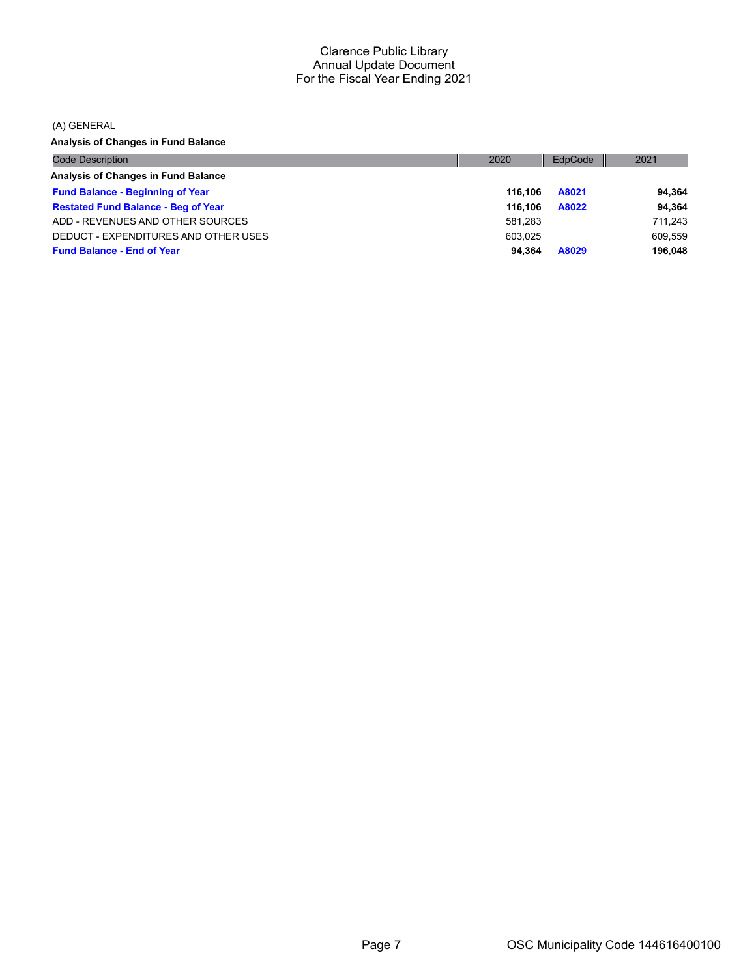(A) GENERAL

**Analysis of Changes in Fund Balance**

| <b>Code Description</b>                    | 2020    | EdpCode | 2021    |
|--------------------------------------------|---------|---------|---------|
| Analysis of Changes in Fund Balance        |         |         |         |
| <b>Fund Balance - Beginning of Year</b>    | 116.106 | A8021   | 94.364  |
| <b>Restated Fund Balance - Beg of Year</b> | 116.106 | A8022   | 94.364  |
| ADD - REVENUES AND OTHER SOURCES           | 581.283 |         | 711.243 |
| DEDUCT - EXPENDITURES AND OTHER USES       | 603.025 |         | 609.559 |
| <b>Fund Balance - End of Year</b>          | 94.364  | A8029   | 196.048 |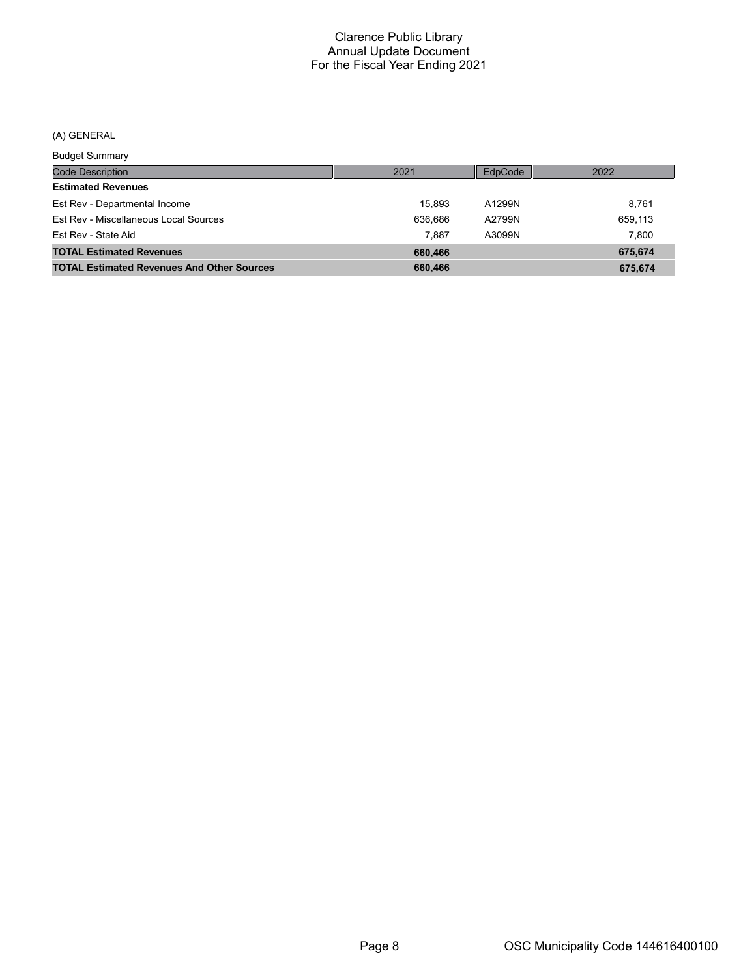# (A) GENERAL

Budget Summary

| <u>Baagot Sarringi</u>                            |         |         |         |
|---------------------------------------------------|---------|---------|---------|
| Code Description                                  | 2021    | EdpCode | 2022    |
| <b>Estimated Revenues</b>                         |         |         |         |
| Est Rev - Departmental Income                     | 15.893  | A1299N  | 8.761   |
| Est Rev - Miscellaneous Local Sources             | 636.686 | A2799N  | 659,113 |
| Est Rev - State Aid                               | 7.887   | A3099N  | 7.800   |
| <b>TOTAL Estimated Revenues</b>                   | 660,466 |         | 675.674 |
| <b>TOTAL Estimated Revenues And Other Sources</b> | 660,466 |         | 675,674 |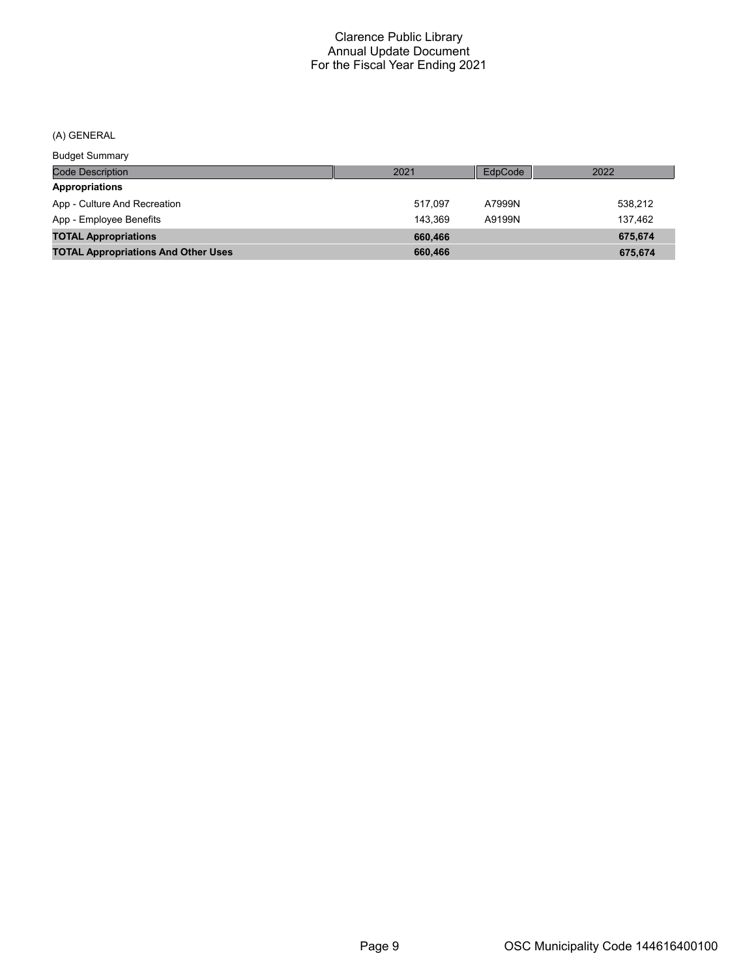# (A) GENERAL

Budget Summary

| <b>DUUYOL OUITHIUI</b>                     |         |         |         |
|--------------------------------------------|---------|---------|---------|
| <b>Code Description</b>                    | 2021    | EdpCode | 2022    |
| Appropriations                             |         |         |         |
| App - Culture And Recreation               | 517.097 | A7999N  | 538,212 |
| App - Employee Benefits                    | 143.369 | A9199N  | 137.462 |
| <b>TOTAL Appropriations</b>                | 660.466 |         | 675.674 |
| <b>TOTAL Appropriations And Other Uses</b> | 660,466 |         | 675.674 |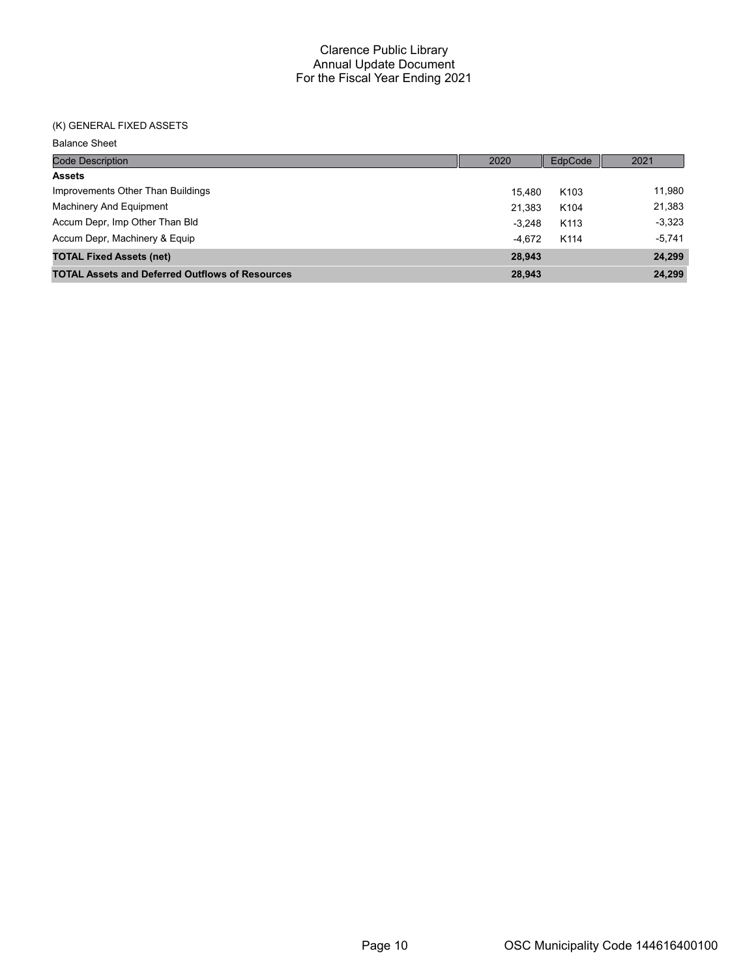#### (K) GENERAL FIXED ASSETS

Balance Sheet

| <b>Code Description</b>                                | 2020     | EdpCode          | 2021     |
|--------------------------------------------------------|----------|------------------|----------|
| <b>Assets</b>                                          |          |                  |          |
| Improvements Other Than Buildings                      | 15.480   | K <sub>103</sub> | 11.980   |
| Machinery And Equipment                                | 21.383   | K <sub>104</sub> | 21,383   |
| Accum Depr, Imp Other Than Bld                         | $-3.248$ | K <sub>113</sub> | $-3,323$ |
| Accum Depr, Machinery & Equip                          | $-4.672$ | K114             | $-5,741$ |
| <b>TOTAL Fixed Assets (net)</b>                        | 28,943   |                  | 24,299   |
| <b>TOTAL Assets and Deferred Outflows of Resources</b> | 28,943   |                  | 24,299   |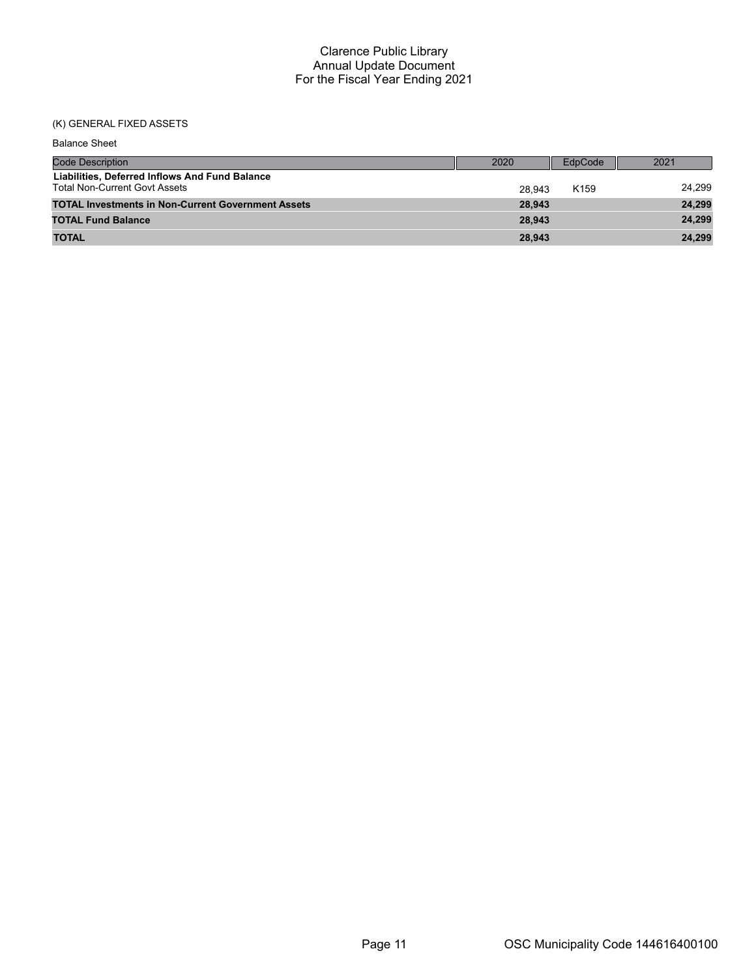# (K) GENERAL FIXED ASSETS

| <b>Balance Sheet</b>                                                                   |        |                  |        |
|----------------------------------------------------------------------------------------|--------|------------------|--------|
| <b>Code Description</b>                                                                | 2020   | EdpCode          | 2021   |
| Liabilities, Deferred Inflows And Fund Balance<br><b>Total Non-Current Govt Assets</b> | 28.943 | K <sub>159</sub> | 24.299 |
| <b>TOTAL Investments in Non-Current Government Assets</b>                              | 28,943 |                  | 24,299 |
| <b>TOTAL Fund Balance</b>                                                              | 28.943 |                  | 24,299 |
| <b>TOTAL</b>                                                                           | 28,943 |                  | 24,299 |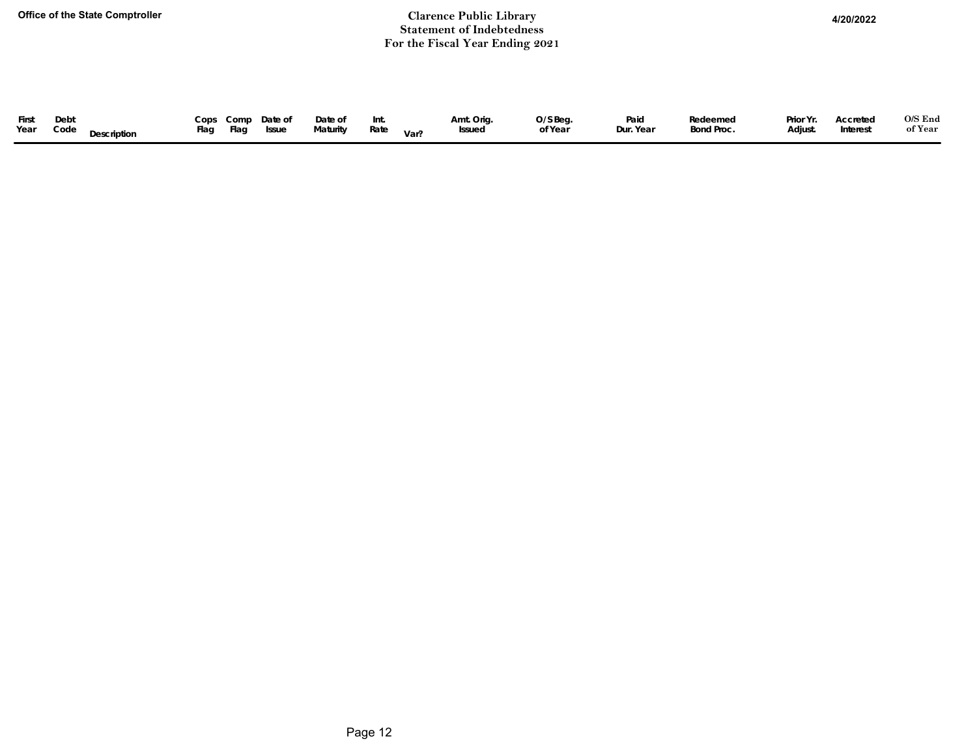#### **Office of the State Comptroller Clarence Public Library 4/20/2022Statement of Indebtedness For the Fiscal Year Ending 2021**

| First<br>Prior Yr.<br>O/S Beg.<br>Cops Comp Date of<br>Amt. Orig.<br>Debt<br>Date of<br>Paid<br>Redeemed<br>Int.<br>Year<br>Flag<br>Bond Proc.<br>of Year<br>Dur. Year<br>Maturity<br>Interest<br>Code<br>Adjust.<br>Rate<br>Flag<br>Issue<br>Issued<br>Description<br>Var? | O/S End<br>Accreted<br>of Year |
|-----------------------------------------------------------------------------------------------------------------------------------------------------------------------------------------------------------------------------------------------------------------------------|--------------------------------|
|-----------------------------------------------------------------------------------------------------------------------------------------------------------------------------------------------------------------------------------------------------------------------------|--------------------------------|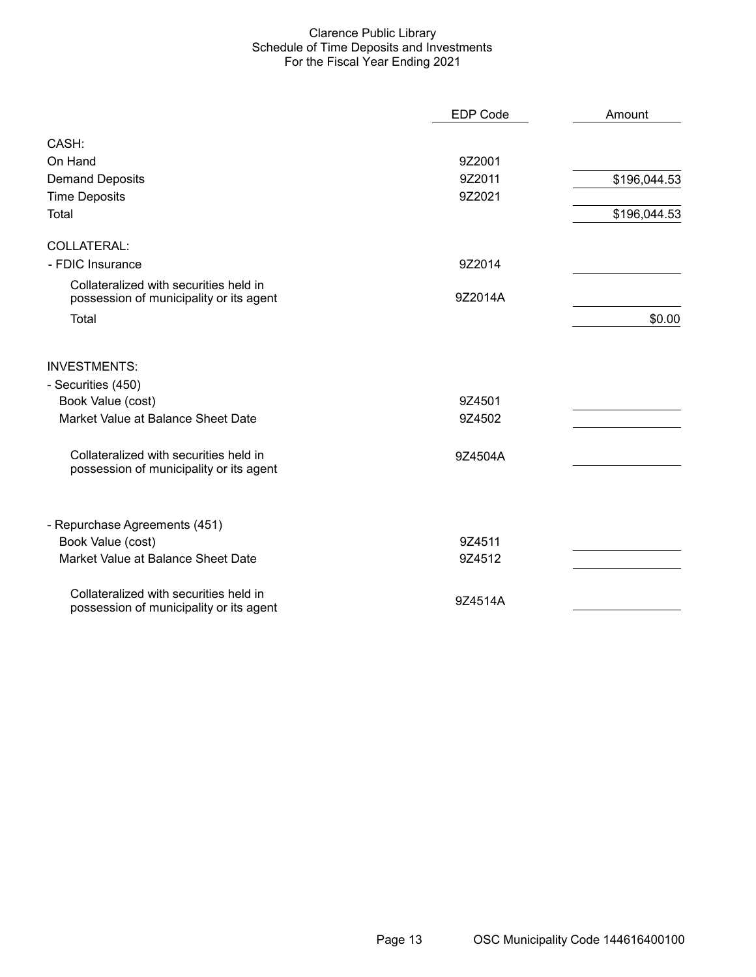#### Clarence Public Library Schedule of Time Deposits and Investments For the Fiscal Year Ending 2021

|                                                                                   | <b>EDP Code</b> | Amount       |
|-----------------------------------------------------------------------------------|-----------------|--------------|
| CASH:                                                                             |                 |              |
| On Hand                                                                           | 9Z2001          |              |
| <b>Demand Deposits</b>                                                            | 9Z2011          | \$196,044.53 |
| <b>Time Deposits</b>                                                              | 9Z2021          |              |
| Total                                                                             |                 | \$196,044.53 |
| <b>COLLATERAL:</b>                                                                |                 |              |
| - FDIC Insurance                                                                  | 9Z2014          |              |
| Collateralized with securities held in<br>possession of municipality or its agent | 9Z2014A         |              |
| Total                                                                             |                 | \$0.00       |
| <b>INVESTMENTS:</b>                                                               |                 |              |
| - Securities (450)                                                                |                 |              |
| Book Value (cost)                                                                 | 9Z4501          |              |
| Market Value at Balance Sheet Date                                                | 9Z4502          |              |
| Collateralized with securities held in<br>possession of municipality or its agent | 9Z4504A         |              |
| - Repurchase Agreements (451)                                                     |                 |              |
| Book Value (cost)                                                                 | 9Z4511          |              |
| Market Value at Balance Sheet Date                                                | 9Z4512          |              |
| Collateralized with securities held in<br>possession of municipality or its agent | 9Z4514A         |              |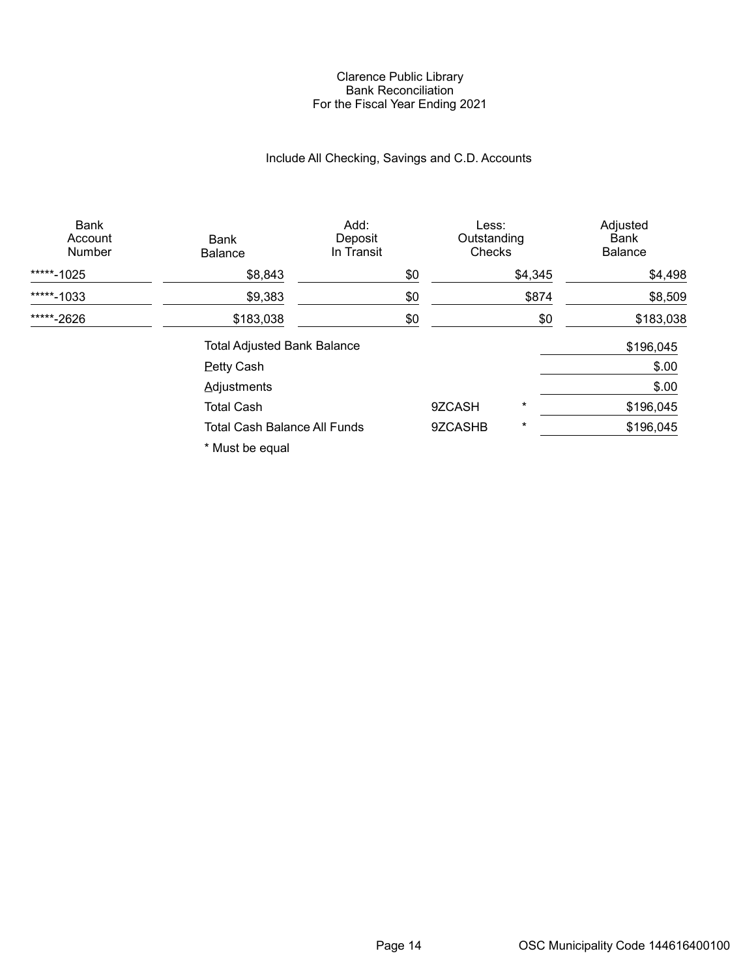#### Clarence Public Library Bank Reconciliation For the Fiscal Year Ending 2021

# Include All Checking, Savings and C.D. Accounts

| <b>Bank</b><br>Account<br>Number | Bank<br><b>Balance</b>              | Add:<br>Deposit<br>In Transit | Less:<br>Outstanding<br>Checks |          | Adjusted<br>Bank<br><b>Balance</b> |
|----------------------------------|-------------------------------------|-------------------------------|--------------------------------|----------|------------------------------------|
| *****-1025                       | \$8,843                             | \$0                           |                                | \$4,345  | \$4,498                            |
| *****-1033                       | \$9,383                             | \$0                           |                                | \$874    | \$8,509                            |
| *****-2626                       | \$183,038                           | \$0                           |                                | \$0      | \$183,038                          |
|                                  | <b>Total Adjusted Bank Balance</b>  |                               |                                |          | \$196,045                          |
|                                  | <b>Petty Cash</b>                   |                               |                                |          | \$.00                              |
|                                  | Adjustments                         |                               |                                |          | \$.00                              |
|                                  | <b>Total Cash</b>                   |                               | 9ZCASH                         | $^\star$ | \$196,045                          |
|                                  | <b>Total Cash Balance All Funds</b> |                               | 9ZCASHB                        | $^\star$ | \$196,045                          |
|                                  | * Must be equal                     |                               |                                |          |                                    |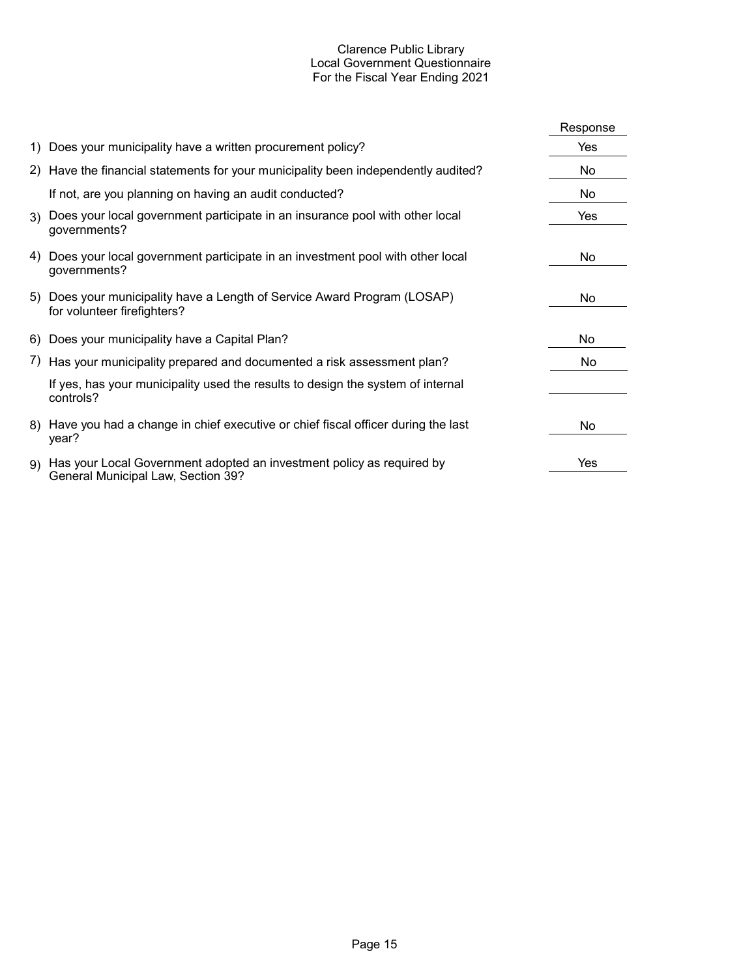#### Clarence Public Library Local Government Questionnaire For the Fiscal Year Ending 2021

|    |                                                                                                             | Response |
|----|-------------------------------------------------------------------------------------------------------------|----------|
|    | 1) Does your municipality have a written procurement policy?                                                | Yes      |
|    | 2) Have the financial statements for your municipality been independently audited?                          | No       |
|    | If not, are you planning on having an audit conducted?                                                      | No       |
|    | 3) Does your local government participate in an insurance pool with other local<br>governments?             | Yes      |
|    | 4) Does your local government participate in an investment pool with other local<br>governments?            | No       |
|    | 5) Does your municipality have a Length of Service Award Program (LOSAP)<br>for volunteer firefighters?     | No       |
|    | 6) Does your municipality have a Capital Plan?                                                              | No       |
|    | 7) Has your municipality prepared and documented a risk assessment plan?                                    | No.      |
|    | If yes, has your municipality used the results to design the system of internal<br>controls?                |          |
|    | 8) Have you had a change in chief executive or chief fiscal officer during the last<br>year?                | No       |
| 9) | Has your Local Government adopted an investment policy as required by<br>General Municipal Law, Section 39? | Yes      |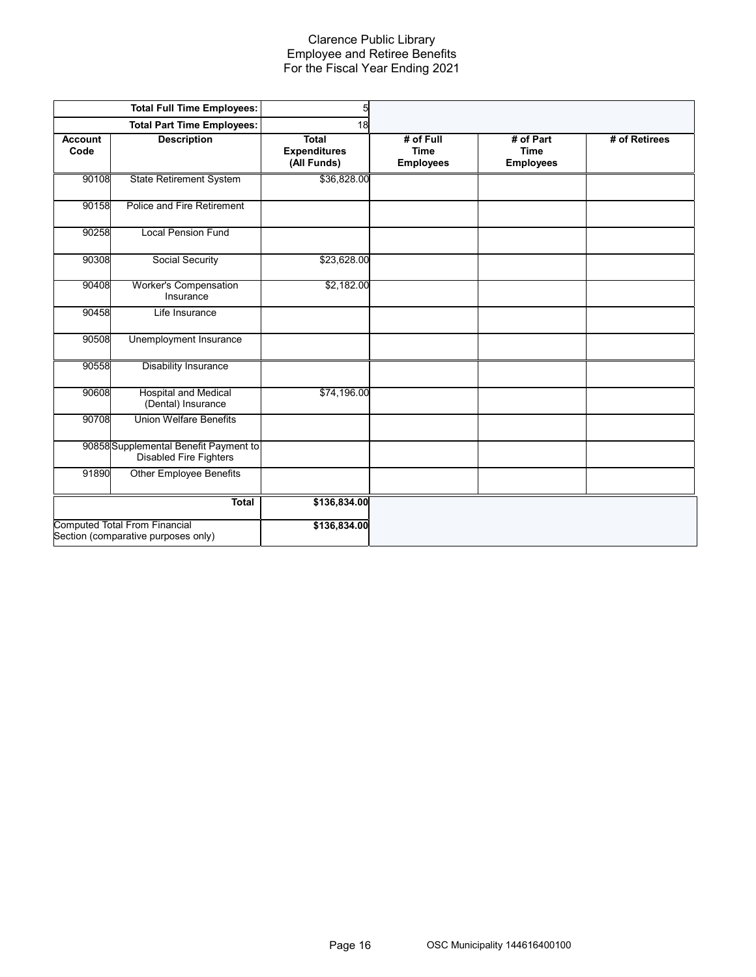#### Clarence Public Library Employee and Retiree Benefits For the Fiscal Year Ending 2021

|                 | <b>Total Full Time Employees:</b>                                           | 5                                                  |                                              |                                              |               |
|-----------------|-----------------------------------------------------------------------------|----------------------------------------------------|----------------------------------------------|----------------------------------------------|---------------|
|                 | <b>Total Part Time Employees:</b>                                           | 18                                                 |                                              |                                              |               |
| Account<br>Code | <b>Description</b>                                                          | <b>Total</b><br><b>Expenditures</b><br>(All Funds) | # of Full<br><b>Time</b><br><b>Employees</b> | # of Part<br><b>Time</b><br><b>Employees</b> | # of Retirees |
| 90108           | <b>State Retirement System</b>                                              | \$36,828.00                                        |                                              |                                              |               |
| 90158           | Police and Fire Retirement                                                  |                                                    |                                              |                                              |               |
| 90258           | <b>Local Pension Fund</b>                                                   |                                                    |                                              |                                              |               |
| 90308           | Social Security                                                             | \$23,628.00                                        |                                              |                                              |               |
| 90408           | Worker's Compensation<br>Insurance                                          | \$2,182.00                                         |                                              |                                              |               |
| 90458           | Life Insurance                                                              |                                                    |                                              |                                              |               |
| 90508           | Unemployment Insurance                                                      |                                                    |                                              |                                              |               |
| 90558           | Disability Insurance                                                        |                                                    |                                              |                                              |               |
| 90608           | <b>Hospital and Medical</b><br>(Dental) Insurance                           | \$74,196.00                                        |                                              |                                              |               |
| 90708           | <b>Union Welfare Benefits</b>                                               |                                                    |                                              |                                              |               |
|                 | 90858 Supplemental Benefit Payment to<br><b>Disabled Fire Fighters</b>      |                                                    |                                              |                                              |               |
| 91890           | <b>Other Employee Benefits</b>                                              |                                                    |                                              |                                              |               |
|                 | Total                                                                       | \$136,834.00                                       |                                              |                                              |               |
|                 | <b>Computed Total From Financial</b><br>Section (comparative purposes only) | \$136,834.00                                       |                                              |                                              |               |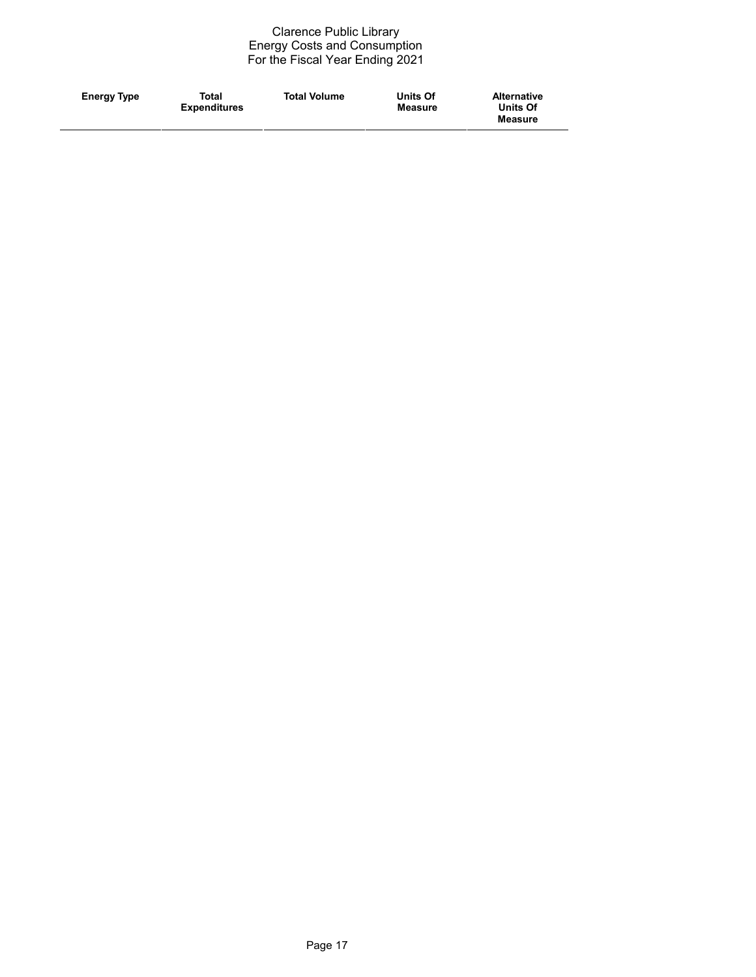#### Clarence Public Library Energy Costs and Consumption For the Fiscal Year Ending 2021

| <b>Energy Type</b><br><b>Expenditures</b><br><b>Units Of</b><br><b>Measure</b><br><b>Measure</b> |  |
|--------------------------------------------------------------------------------------------------|--|
|--------------------------------------------------------------------------------------------------|--|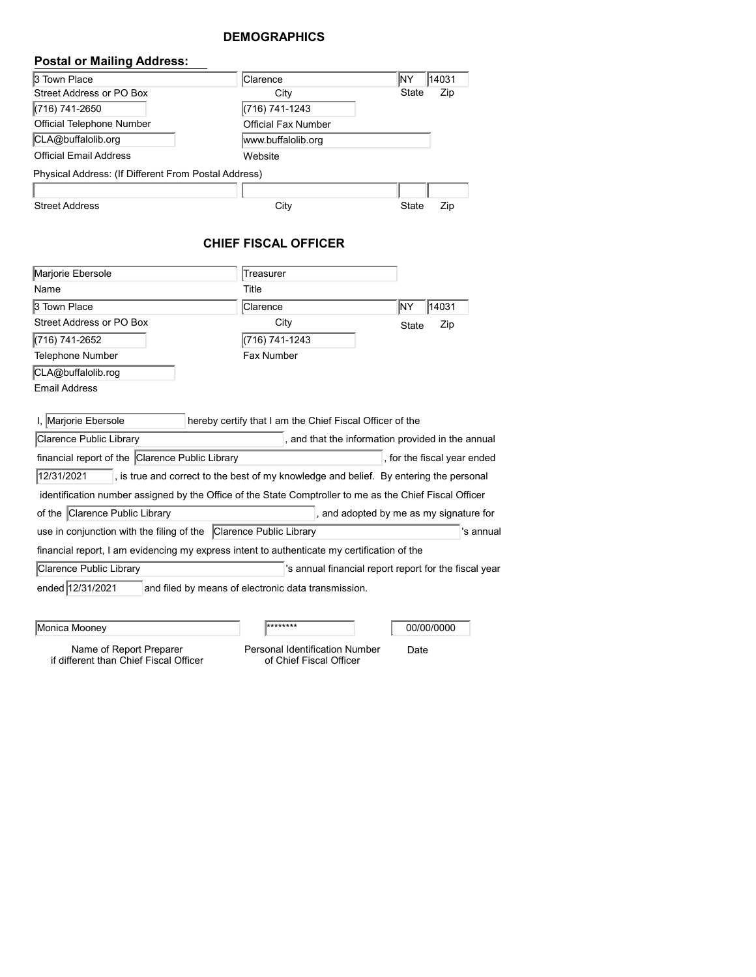# **DEMOGRAPHICS**

| <b>Postal or Mailing Address:</b>                    |                            |       |       |
|------------------------------------------------------|----------------------------|-------|-------|
| 3 Town Place                                         | <b>Clarence</b>            | lΝY   | 14031 |
| Street Address or PO Box                             | City                       | State | Zip   |
| (716) 741-2650                                       | (716) 741-1243             |       |       |
| Official Telephone Number                            | <b>Official Fax Number</b> |       |       |
| CLA@buffalolib.org                                   | www.buffalolib.org         |       |       |
| Official Email Address                               | Website                    |       |       |
| Physical Address: (If Different From Postal Address) |                            |       |       |
|                                                      |                            |       |       |
| <b>Street Address</b>                                | City                       | State | Zip   |

# **CHIEF FISCAL OFFICER**

| Marjorie Ebersole                                                                                       | Treasurer                                                |                                                       |              |  |  |  |
|---------------------------------------------------------------------------------------------------------|----------------------------------------------------------|-------------------------------------------------------|--------------|--|--|--|
| Name                                                                                                    | Title                                                    |                                                       |              |  |  |  |
| 3 Town Place                                                                                            | Clarence                                                 |                                                       | İΝY<br>14031 |  |  |  |
| Street Address or PO Box                                                                                | City                                                     |                                                       | Zip<br>State |  |  |  |
| (716) 741-2652                                                                                          | (716) 741-1243                                           |                                                       |              |  |  |  |
| Telephone Number                                                                                        | Fax Number                                               |                                                       |              |  |  |  |
| CLA@buffalolib.rog                                                                                      |                                                          |                                                       |              |  |  |  |
| <b>Email Address</b>                                                                                    |                                                          |                                                       |              |  |  |  |
|                                                                                                         |                                                          |                                                       |              |  |  |  |
| I, Marjorie Ebersole                                                                                    | hereby certify that I am the Chief Fiscal Officer of the |                                                       |              |  |  |  |
| Clarence Public Library                                                                                 |                                                          | , and that the information provided in the annual     |              |  |  |  |
| financial report of the Clarence Public Library<br>, for the fiscal year ended                          |                                                          |                                                       |              |  |  |  |
| 12/31/2021<br>, is true and correct to the best of my knowledge and belief. By entering the personal    |                                                          |                                                       |              |  |  |  |
| identification number assigned by the Office of the State Comptroller to me as the Chief Fiscal Officer |                                                          |                                                       |              |  |  |  |
| of the Clarence Public Library<br>, and adopted by me as my signature for                               |                                                          |                                                       |              |  |  |  |
| 's annual<br>use in conjunction with the filing of the Clarence Public Library                          |                                                          |                                                       |              |  |  |  |
| financial report, I am evidencing my express intent to authenticate my certification of the             |                                                          |                                                       |              |  |  |  |
| Clarence Public Library                                                                                 |                                                          | 's annual financial report report for the fiscal year |              |  |  |  |
| ended 12/31/2021<br>and filed by means of electronic data transmission.                                 |                                                          |                                                       |              |  |  |  |
|                                                                                                         |                                                          |                                                       |              |  |  |  |
|                                                                                                         |                                                          |                                                       |              |  |  |  |
| Monica Mooney                                                                                           | ********                                                 |                                                       | 00/00/0000   |  |  |  |

Name of Report Preparer if different than Chief Fiscal Officer Personal Identification Number Date

of Chief Fiscal Officer